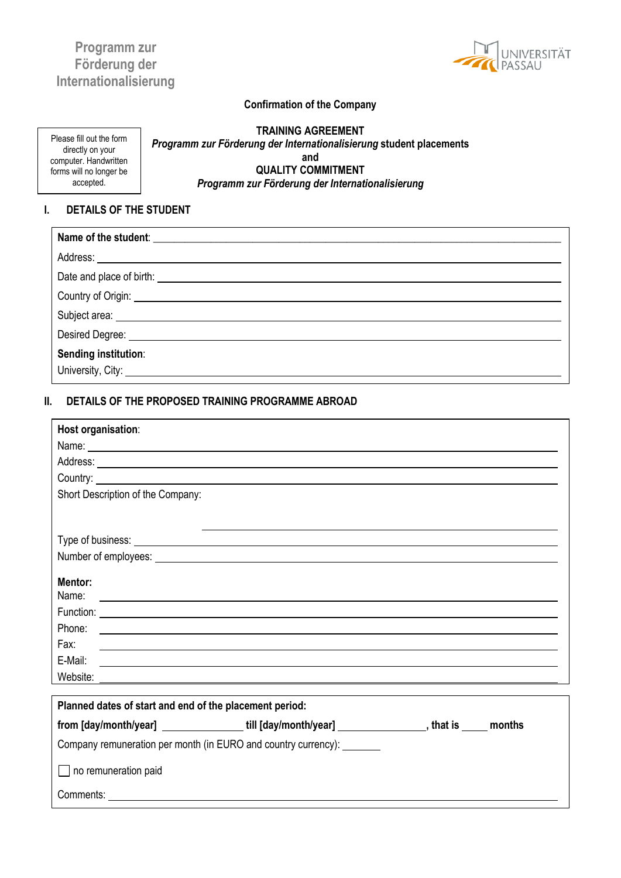# **Programm zur Förderung der Internationalisierung**



## **Confirmation of the Company**

Please fill out the form directly on your computer. Handwritten forms will no longer be accepted.

**TRAINING AGREEMENT** *Programm zur Förderung der Internationalisierung* **student placements and QUALITY COMMITMENT**  *Programm zur Förderung der Internationalisierung*

### **I. DETAILS OF THE STUDENT**

| Address: <u>Address:</u> Address: Address: Address: Address: Address: Address: Address: Address: Address: Address: Address: Address: Address: Address: Address: Address: Address: Address: Address: Address: Address: Address: Addr |
|-------------------------------------------------------------------------------------------------------------------------------------------------------------------------------------------------------------------------------------|
| Date and place of birth: <u>example and place of birth</u> and the set of the set of the set of the set of the set of the set of the set of the set of the set of the set of the set of the set of the set of the set of the set of |
| Country of Origin: 2008 2009 2010 2020 2020 2020 2021 2021 2022 2021 2021 2021 2022 2021 2021 2021 2021 2022 20                                                                                                                     |
|                                                                                                                                                                                                                                     |
|                                                                                                                                                                                                                                     |
| Sending institution:                                                                                                                                                                                                                |

#### **II. DETAILS OF THE PROPOSED TRAINING PROGRAMME ABROAD**

| Host organisation:                                                                                                                                                                                                                   |
|--------------------------------------------------------------------------------------------------------------------------------------------------------------------------------------------------------------------------------------|
| Name: <u>experimental</u> contract the contract of the contract of the contract of the contract of the contract of the contract of the contract of the contract of the contract of the contract of the contract of the contract of   |
| Address: Andreas Address: Address: Address: Address: Address: Address: Address: Address: Address: Address: Address: Address: Address: Address: Address: Address: Address: Address: Address: Address: Address: Address: Address       |
|                                                                                                                                                                                                                                      |
| Short Description of the Company:                                                                                                                                                                                                    |
|                                                                                                                                                                                                                                      |
|                                                                                                                                                                                                                                      |
| Number of employees: <u>example and a series of employees</u> and a series of employees and a series of employees and a series of employees and a series of employees and a series of employees and a series of the series of the s  |
|                                                                                                                                                                                                                                      |
| Mentor:<br>Name:                                                                                                                                                                                                                     |
| <u> 1989 - Johann Harry Harry Harry Harry Harry Harry Harry Harry Harry Harry Harry Harry Harry Harry Harry Harry</u>                                                                                                                |
|                                                                                                                                                                                                                                      |
| Fax:<br><u> 1980 - Andrea Andrew Maria (h. 1980).</u>                                                                                                                                                                                |
|                                                                                                                                                                                                                                      |
| Website: <u>www.communications.com and contract and contract and contract and contract and contract and contract of the contract of the contract of the contract of the contract of the contract of the contract of the contract</u> |
|                                                                                                                                                                                                                                      |
| Planned dates of start and end of the placement period:                                                                                                                                                                              |
| from [day/month/year] ________________till [day/month/year] ____________________, that is _____ months                                                                                                                               |
| Company remuneration per month (in EURO and country currency): _______                                                                                                                                                               |
| $\Box$ no remuneration paid                                                                                                                                                                                                          |
| Comments: <u>example</u> and the comments of the comments of the comments of the comments of the comments of the comments of the comments of the comments of the comments of the comments of the comments of the comments of the co  |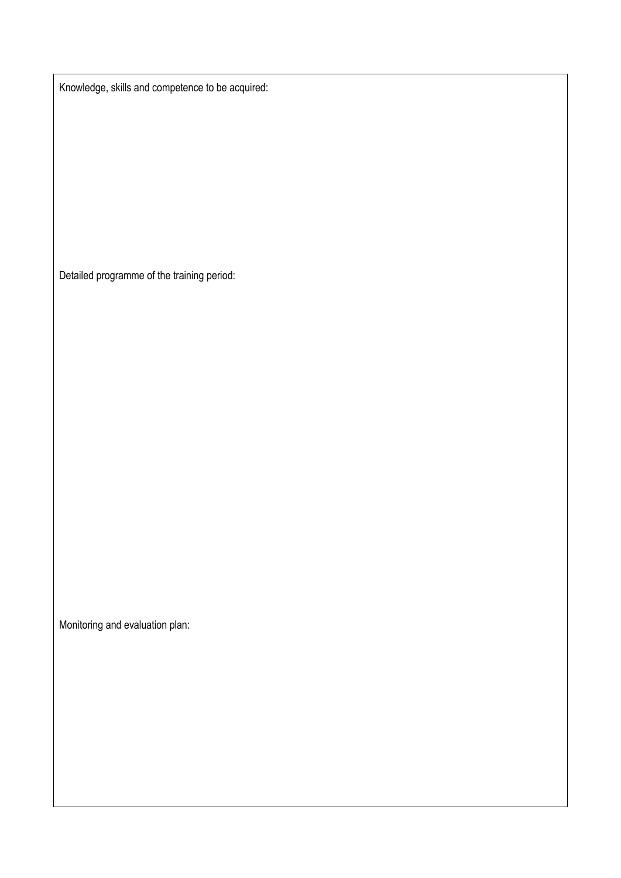Knowledge, skills and competence to be acquired:

Detailed programme of the training period:

Monitoring and evaluation plan: